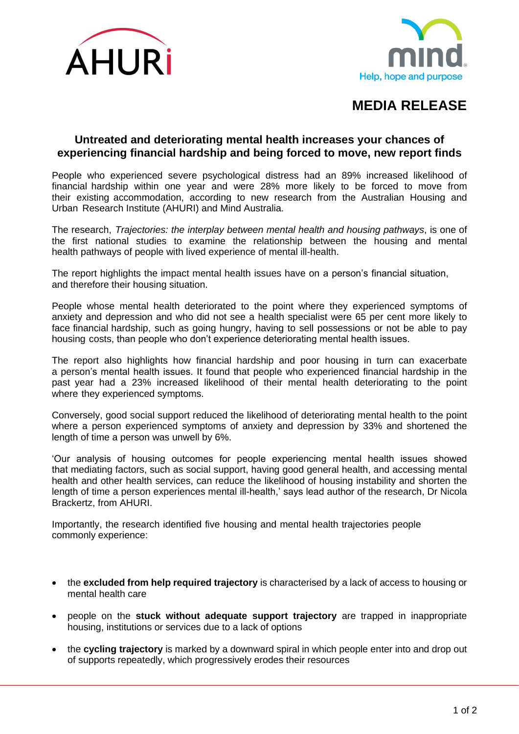



## **MEDIA RELEASE**

## **Untreated and deteriorating mental health increases your chances of experiencing financial hardship and being forced to move, new report finds**

People who experienced severe psychological distress had an 89% increased likelihood of financial hardship within one year and were 28% more likely to be forced to move from their existing accommodation, according to new research from the Australian Housing and Urban Research Institute (AHURI) and Mind Australia.

The research, *Trajectories: the interplay between mental health and housing pathways*, is one of the first national studies to examine the relationship between the housing and mental health pathways of people with lived experience of mental ill-health.

The report highlights the impact mental health issues have on a person's financial situation, and therefore their housing situation.

People whose mental health deteriorated to the point where they experienced symptoms of anxiety and depression and who did not see a health specialist were 65 per cent more likely to face financial hardship, such as going hungry, having to sell possessions or not be able to pay housing costs, than people who don't experience deteriorating mental health issues.

The report also highlights how financial hardship and poor housing in turn can exacerbate a person's mental health issues. It found that people who experienced financial hardship in the past year had a 23% increased likelihood of their mental health deteriorating to the point where they experienced symptoms.

Conversely, good social support reduced the likelihood of deteriorating mental health to the point where a person experienced symptoms of anxiety and depression by 33% and shortened the length of time a person was unwell by 6%.

'Our analysis of housing outcomes for people experiencing mental health issues showed that mediating factors, such as social support, having good general health, and accessing mental health and other health services, can reduce the likelihood of housing instability and shorten the length of time a person experiences mental ill-health,' says lead author of the research, Dr Nicola Brackertz, from AHURI.

Importantly, the research identified five housing and mental health trajectories people commonly experience:

- the **excluded from help required trajectory** is characterised by a lack of access to housing or mental health care
- people on the **stuck without adequate support trajectory** are trapped in inappropriate housing, institutions or services due to a lack of options
- the **cycling trajectory** is marked by a downward spiral in which people enter into and drop out of supports repeatedly, which progressively erodes their resources